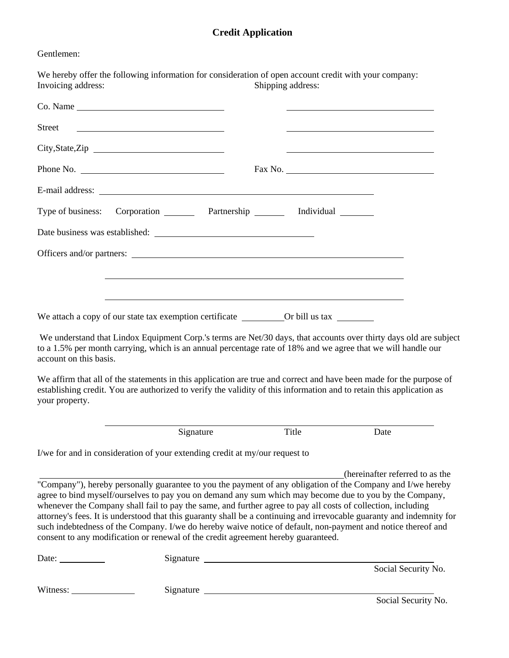## **Credit Application**

Gentlemen:

| Invoicing address:     |                                                                                                                        |                                                                                  | Shipping address: | We hereby offer the following information for consideration of open account credit with your company:                                                                                                                                                                                                                                                                                                                                                                                                                                                                                                              |  |
|------------------------|------------------------------------------------------------------------------------------------------------------------|----------------------------------------------------------------------------------|-------------------|--------------------------------------------------------------------------------------------------------------------------------------------------------------------------------------------------------------------------------------------------------------------------------------------------------------------------------------------------------------------------------------------------------------------------------------------------------------------------------------------------------------------------------------------------------------------------------------------------------------------|--|
|                        |                                                                                                                        |                                                                                  |                   |                                                                                                                                                                                                                                                                                                                                                                                                                                                                                                                                                                                                                    |  |
| Street                 | <u> Albany a Carlo Carlo Carlo Carlo Carlo Carlo Carlo Carlo Carlo Carlo Carlo Carlo Carlo Carlo Carlo Carlo Carlo</u> |                                                                                  |                   |                                                                                                                                                                                                                                                                                                                                                                                                                                                                                                                                                                                                                    |  |
|                        | City, State, Zip                                                                                                       |                                                                                  |                   |                                                                                                                                                                                                                                                                                                                                                                                                                                                                                                                                                                                                                    |  |
|                        | Phone No.                                                                                                              |                                                                                  |                   |                                                                                                                                                                                                                                                                                                                                                                                                                                                                                                                                                                                                                    |  |
|                        |                                                                                                                        |                                                                                  |                   |                                                                                                                                                                                                                                                                                                                                                                                                                                                                                                                                                                                                                    |  |
| Type of business:      |                                                                                                                        | Corporation ________ Partnership _______ Individual _______                      |                   |                                                                                                                                                                                                                                                                                                                                                                                                                                                                                                                                                                                                                    |  |
|                        |                                                                                                                        |                                                                                  |                   |                                                                                                                                                                                                                                                                                                                                                                                                                                                                                                                                                                                                                    |  |
|                        |                                                                                                                        |                                                                                  |                   |                                                                                                                                                                                                                                                                                                                                                                                                                                                                                                                                                                                                                    |  |
|                        |                                                                                                                        | ,我们也不会有什么。""我们的人,我们也不会有什么?""我们的人,我们也不会有什么?""我们的人,我们也不会有什么?""我们的人,我们也不会有什么?""我们的人 |                   |                                                                                                                                                                                                                                                                                                                                                                                                                                                                                                                                                                                                                    |  |
|                        |                                                                                                                        |                                                                                  |                   |                                                                                                                                                                                                                                                                                                                                                                                                                                                                                                                                                                                                                    |  |
|                        |                                                                                                                        |                                                                                  |                   |                                                                                                                                                                                                                                                                                                                                                                                                                                                                                                                                                                                                                    |  |
| account on this basis. |                                                                                                                        |                                                                                  |                   | We understand that Lindox Equipment Corp.'s terms are Net/30 days, that accounts over thirty days old are subject<br>to a 1.5% per month carrying, which is an annual percentage rate of 18% and we agree that we will handle our                                                                                                                                                                                                                                                                                                                                                                                  |  |
| your property.         |                                                                                                                        |                                                                                  |                   | We affirm that all of the statements in this application are true and correct and have been made for the purpose of<br>establishing credit. You are authorized to verify the validity of this information and to retain this application as                                                                                                                                                                                                                                                                                                                                                                        |  |
|                        |                                                                                                                        | Signature                                                                        | Title             | Date                                                                                                                                                                                                                                                                                                                                                                                                                                                                                                                                                                                                               |  |
|                        | I/we for and in consideration of your extending credit at my/our request to                                            |                                                                                  |                   |                                                                                                                                                                                                                                                                                                                                                                                                                                                                                                                                                                                                                    |  |
|                        | consent to any modification or renewal of the credit agreement hereby guaranteed.                                      |                                                                                  |                   | (hereinafter referred to as the<br>"Company"), hereby personally guarantee to you the payment of any obligation of the Company and I/we hereby<br>agree to bind myself/ourselves to pay you on demand any sum which may become due to you by the Company,<br>whenever the Company shall fail to pay the same, and further agree to pay all costs of collection, including<br>attorney's fees. It is understood that this guaranty shall be a continuing and irrevocable guaranty and indemnity for<br>such indebtedness of the Company. I/we do hereby waive notice of default, non-payment and notice thereof and |  |
| Date:                  |                                                                                                                        | Signature                                                                        |                   | Social Security No.                                                                                                                                                                                                                                                                                                                                                                                                                                                                                                                                                                                                |  |
|                        |                                                                                                                        |                                                                                  |                   |                                                                                                                                                                                                                                                                                                                                                                                                                                                                                                                                                                                                                    |  |
| Witness:               |                                                                                                                        | Signature Signature                                                              |                   | Social Security No.                                                                                                                                                                                                                                                                                                                                                                                                                                                                                                                                                                                                |  |